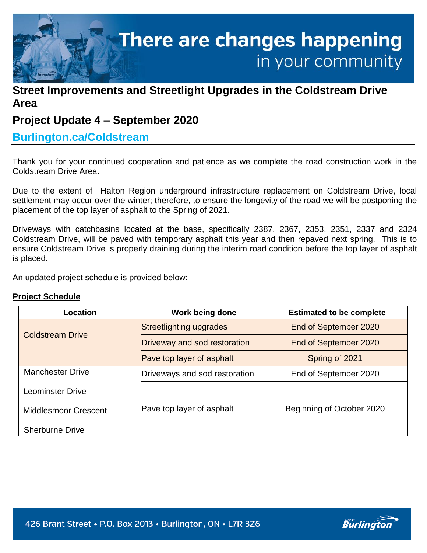

# **Street Improvements and Streetlight Upgrades in the Coldstream Drive Area**

# **Project Update 4 – September 2020**

## **Burlington.ca/Coldstream**

Thank you for your continued cooperation and patience as we complete the road construction work in the Coldstream Drive Area.

Due to the extent of Halton Region underground infrastructure replacement on Coldstream Drive, local settlement may occur over the winter; therefore, to ensure the longevity of the road we will be postponing the placement of the top layer of asphalt to the Spring of 2021.

Driveways with catchbasins located at the base, specifically 2387, 2367, 2353, 2351, 2337 and 2324 Coldstream Drive, will be paved with temporary asphalt this year and then repaved next spring. This is to ensure Coldstream Drive is properly draining during the interim road condition before the top layer of asphalt is placed.

An updated project schedule is provided below:

### **Project Schedule**

| Location                    | Work being done               | <b>Estimated to be complete</b> |
|-----------------------------|-------------------------------|---------------------------------|
| <b>Coldstream Drive</b>     | Streetlighting upgrades       | End of September 2020           |
|                             | Driveway and sod restoration  | End of September 2020           |
|                             | Pave top layer of asphalt     | Spring of 2021                  |
| <b>Manchester Drive</b>     | Driveways and sod restoration | End of September 2020           |
| <b>Leominster Drive</b>     |                               |                                 |
| <b>Middlesmoor Crescent</b> | Pave top layer of asphalt     | Beginning of October 2020       |
| <b>Sherburne Drive</b>      |                               |                                 |

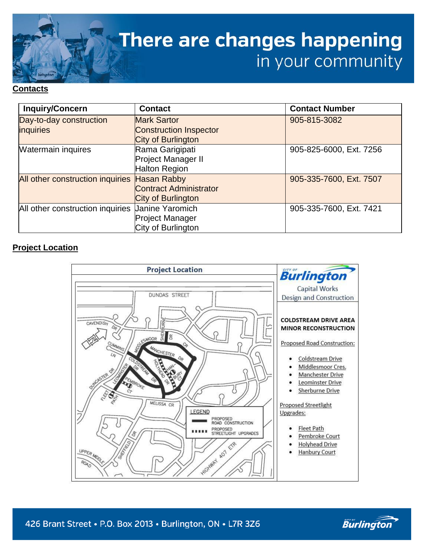

#### **Contacts**

| <b>Inquiry/Concern</b>           | <b>Contact</b>                | <b>Contact Number</b>   |
|----------------------------------|-------------------------------|-------------------------|
| Day-to-day construction          | <b>Mark Sartor</b>            | 905-815-3082            |
| <i>inquiries</i>                 | <b>Construction Inspector</b> |                         |
|                                  | City of Burlington            |                         |
| <b>Watermain inquires</b>        | Rama Garigipati               | 905-825-6000, Ext. 7256 |
|                                  | Project Manager II            |                         |
|                                  | <b>Halton Region</b>          |                         |
| All other construction inquiries | <b>Hasan Rabby</b>            | 905-335-7600, Ext. 7507 |
|                                  | <b>Contract Administrator</b> |                         |
|                                  | City of Burlington            |                         |
| All other construction inquiries | <b>Janine Yaromich</b>        | 905-335-7600, Ext. 7421 |
|                                  | <b>Project Manager</b>        |                         |
|                                  | City of Burlington            |                         |

### **Project Location**